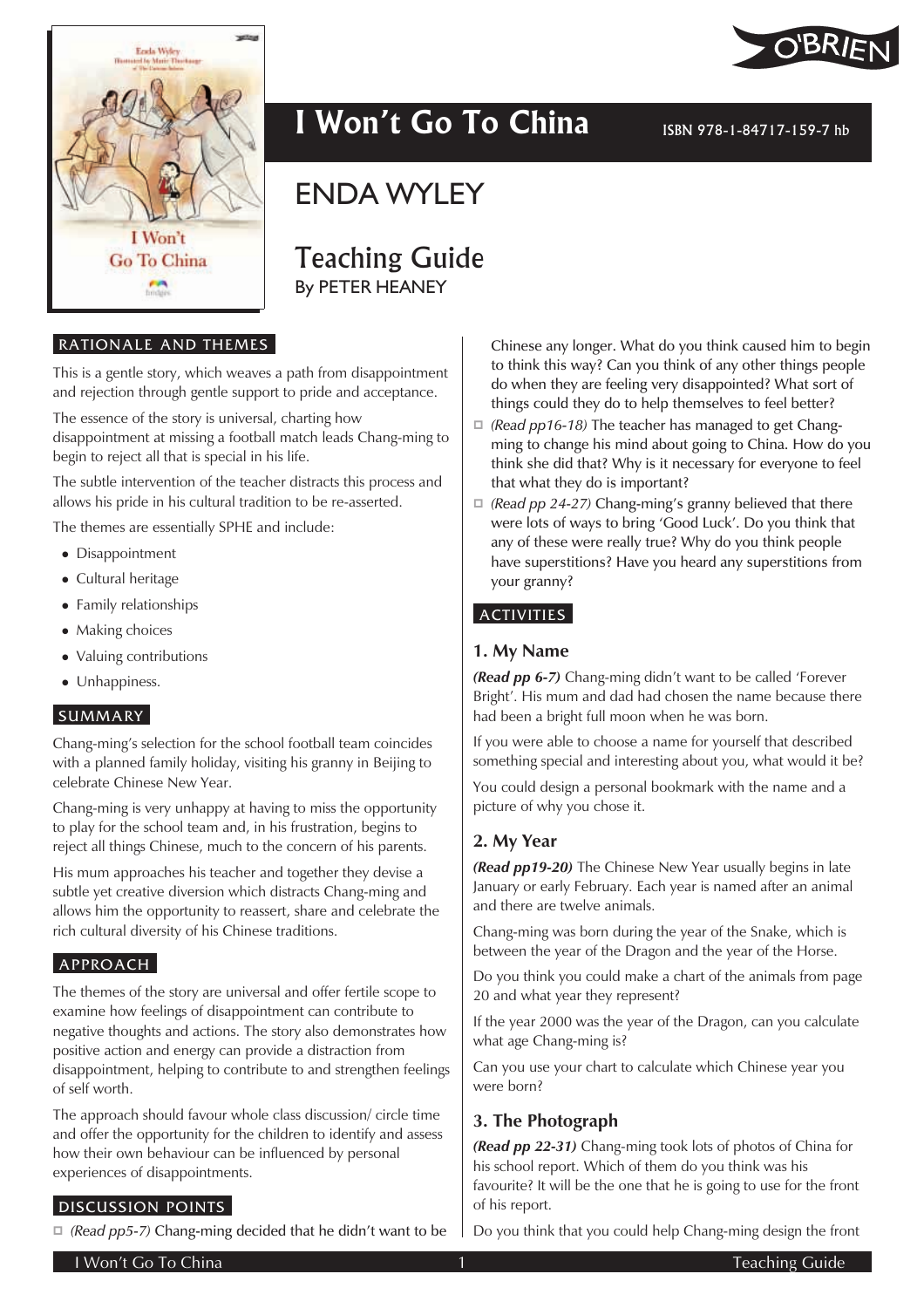

# I Won't Go To China **ISBN 978-1-84717-159-7 hb**

ENDA WYLEY

Teaching Guide By PETER HEANEY

#### RATIONALE AND THEMES

This is a gentle story, which weaves a path from disappointment and rejection through gentle support to pride and acceptance.

The essence of the story is universal, charting how

disappointment at missing a football match leads Chang-ming to begin to reject all that is special in his life.

The subtle intervention of the teacher distracts this process and allows his pride in his cultural tradition to be re-asserted.

The themes are essentially SPHE and include:

- Disappointment
- Cultural heritage
- Family relationships
- Making choices
- Valuing contributions
- Unhappiness.

# SUMMARY

Chang-ming's selection for the school football team coincides with a planned family holiday, visiting his granny in Beijing to celebrate Chinese New Year.

Chang-ming is very unhappy at having to miss the opportunity to play for the school team and, in his frustration, begins to reject all things Chinese, much to the concern of his parents.

His mum approaches his teacher and together they devise a subtle yet creative diversion which distracts Chang-ming and allows him the opportunity to reassert, share and celebrate the rich cultural diversity of his Chinese traditions.

# APPROACH

The themes of the story are universal and offer fertile scope to examine how feelings of disappointment can contribute to negative thoughts and actions. The story also demonstrates how positive action and energy can provide a distraction from disappointment, helping to contribute to and strengthen feelings of self worth.

The approach should favour whole class discussion/ circle time and offer the opportunity for the children to identify and assess how their own behaviour can be influenced by personal experiences of disappointments.

# DISCUSSION POINTS

*(Read pp5-7)* Chang-ming decided that he didn't want to be

Chinese any longer. What do you think caused him to begin to think this way? Can you think of any other things people do when they are feeling very disappointed? What sort of things could they do to help themselves to feel better?

- *(Read pp16-18)* The teacher has managed to get Changming to change his mind about going to China. How do you think she did that? Why is it necessary for everyone to feel that what they do is important?
- *(Read pp 24-27)* Chang-ming's granny believed that there were lots of ways to bring 'Good Luck'. Do you think that any of these were really true? Why do you think people have superstitions? Have you heard any superstitions from your granny?

#### ACTIVITIES

# **1. My Name**

*(Read pp 6-7)* Chang-ming didn't want to be called 'Forever Bright'. His mum and dad had chosen the name because there had been a bright full moon when he was born.

If you were able to choose a name for yourself that described something special and interesting about you, what would it be?

You could design a personal bookmark with the name and a picture of why you chose it.

# **2. My Year**

*(Read pp19-20)* The Chinese New Year usually begins in late January or early February. Each year is named after an animal and there are twelve animals.

Chang-ming was born during the year of the Snake, which is between the year of the Dragon and the year of the Horse.

Do you think you could make a chart of the animals from page 20 and what year they represent?

If the year 2000 was the year of the Dragon, can you calculate what age Chang-ming is?

Can you use your chart to calculate which Chinese year you were born?

#### **3. The Photograph**

*(Read pp 22-31)* Chang-ming took lots of photos of China for his school report. Which of them do you think was his favourite? It will be the one that he is going to use for the front of his report.

Do you think that you could help Chang-ming design the front

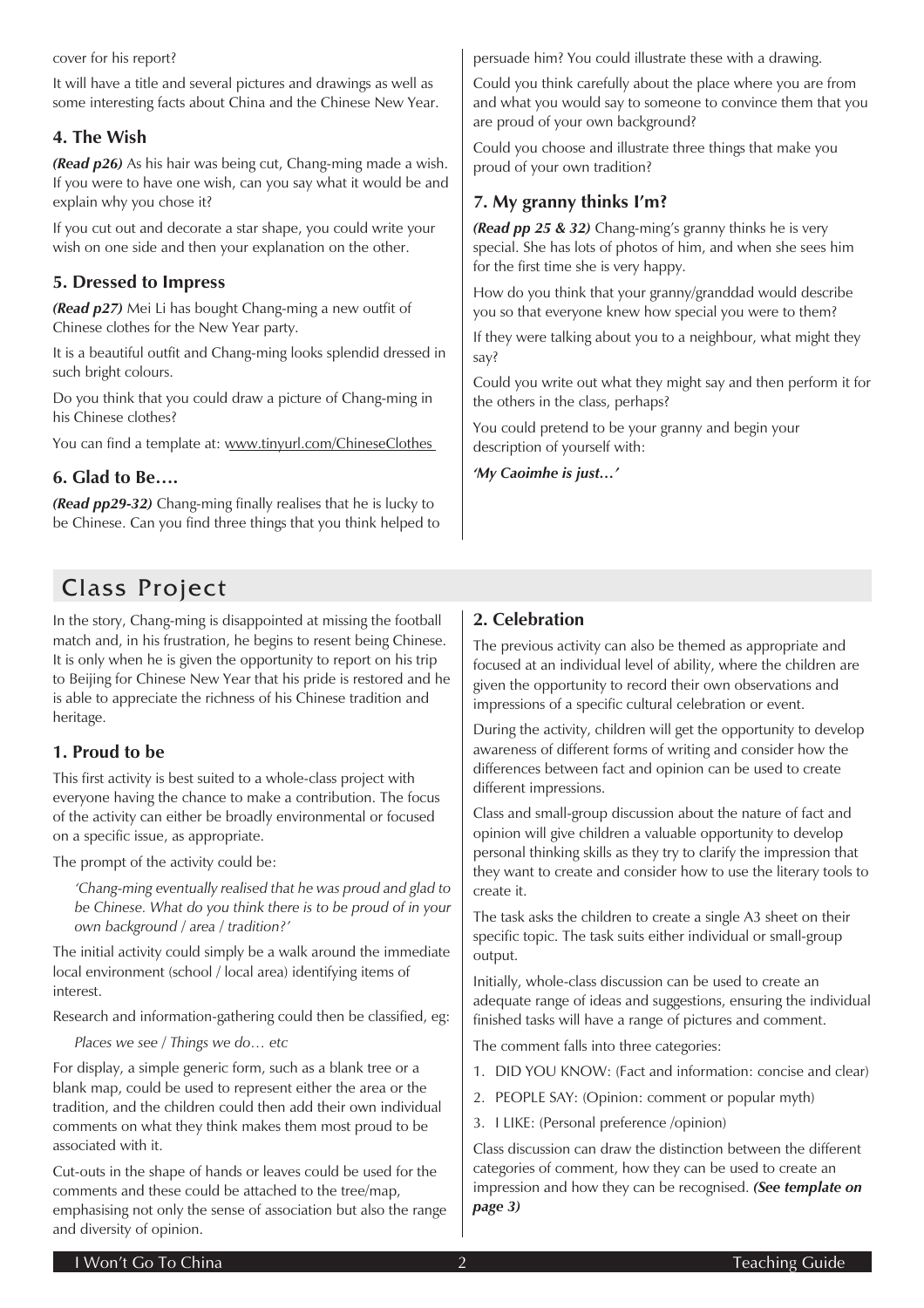#### cover for his report?

It will have a title and several pictures and drawings as well as some interesting facts about China and the Chinese New Year.

# **4. The Wish**

*(Read p26)* As his hair was being cut, Chang-ming made a wish. If you were to have one wish, can you say what it would be and explain why you chose it?

If you cut out and decorate a star shape, you could write your wish on one side and then your explanation on the other.

# **5. Dressed to Impress**

*(Read p27)* Mei Li has bought Chang-ming a new outfit of Chinese clothes for the New Year party.

It is a beautiful outfit and Chang-ming looks splendid dressed in such bright colours.

Do you think that you could draw a picture of Chang-ming in his Chinese clothes?

You can find a template at: www.tinyurl.com/ChineseClothes

# **6. Glad to Be….**

*(Read pp29-32)* Chang-ming finally realises that he is lucky to be Chinese. Can you find three things that you think helped to

# Class Project

In the story, Chang-ming is disappointed at missing the football match and, in his frustration, he begins to resent being Chinese. It is only when he is given the opportunity to report on his trip to Beijing for Chinese New Year that his pride is restored and he is able to appreciate the richness of his Chinese tradition and heritage.

# **1. Proud to be**

This first activity is best suited to a whole-class project with everyone having the chance to make a contribution. The focus of the activity can either be broadly environmental or focused on a specific issue, as appropriate.

The prompt of the activity could be:

*'Chang-ming eventually realised that he was proud and glad to be Chinese. What do you think there is to be proud of in your own background / area / tradition?'*

The initial activity could simply be a walk around the immediate local environment (school / local area) identifying items of interest.

Research and information-gathering could then be classified, eg:

*Places we see / Things we do… etc*

For display, a simple generic form, such as a blank tree or a blank map, could be used to represent either the area or the tradition, and the children could then add their own individual comments on what they think makes them most proud to be associated with it.

Cut-outs in the shape of hands or leaves could be used for the comments and these could be attached to the tree/map, emphasising not only the sense of association but also the range and diversity of opinion.

persuade him? You could illustrate these with a drawing.

Could you think carefully about the place where you are from and what you would say to someone to convince them that you are proud of your own background?

Could you choose and illustrate three things that make you proud of your own tradition?

# **7. My granny thinks I'm?**

*(Read pp 25 & 32)* Chang-ming's granny thinks he is very special. She has lots of photos of him, and when she sees him for the first time she is very happy.

How do you think that your granny/granddad would describe you so that everyone knew how special you were to them?

If they were talking about you to a neighbour, what might they say?

Could you write out what they might say and then perform it for the others in the class, perhaps?

You could pretend to be your granny and begin your description of yourself with:

*'My Caoimhe is just…'*

# **2. Celebration**

The previous activity can also be themed as appropriate and focused at an individual level of ability, where the children are given the opportunity to record their own observations and impressions of a specific cultural celebration or event.

During the activity, children will get the opportunity to develop awareness of different forms of writing and consider how the differences between fact and opinion can be used to create different impressions.

Class and small-group discussion about the nature of fact and opinion will give children a valuable opportunity to develop personal thinking skills as they try to clarify the impression that they want to create and consider how to use the literary tools to create it.

The task asks the children to create a single A3 sheet on their specific topic. The task suits either individual or small-group output.

Initially, whole-class discussion can be used to create an adequate range of ideas and suggestions, ensuring the individual finished tasks will have a range of pictures and comment.

The comment falls into three categories:

- 1. DID YOU KNOW: (Fact and information: concise and clear)
- 2. PEOPLE SAY: (Opinion: comment or popular myth)
- 3. I LIKE: (Personal preference /opinion)

Class discussion can draw the distinction between the different categories of comment, how they can be used to create an impression and how they can be recognised. *(See template on page 3)*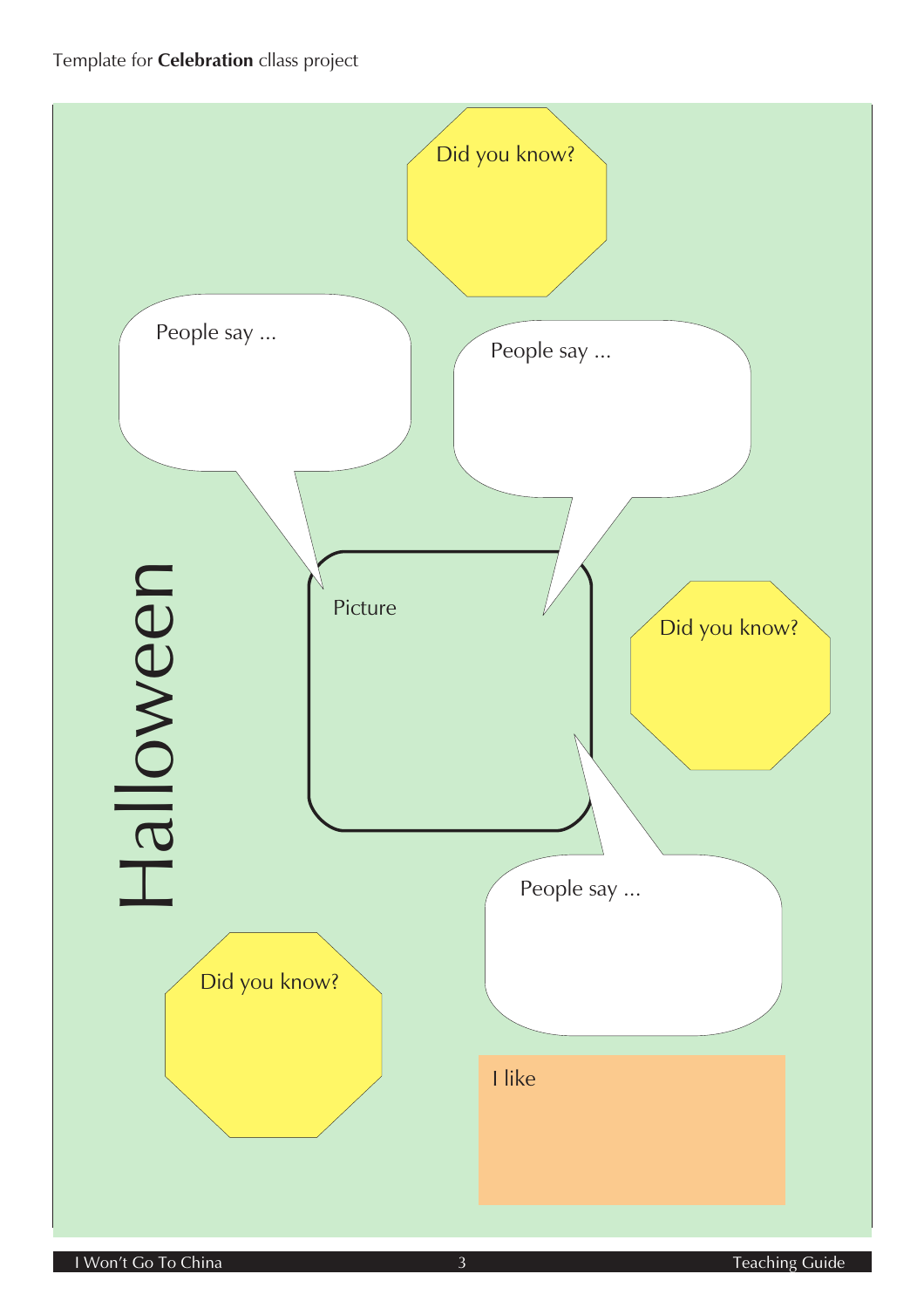